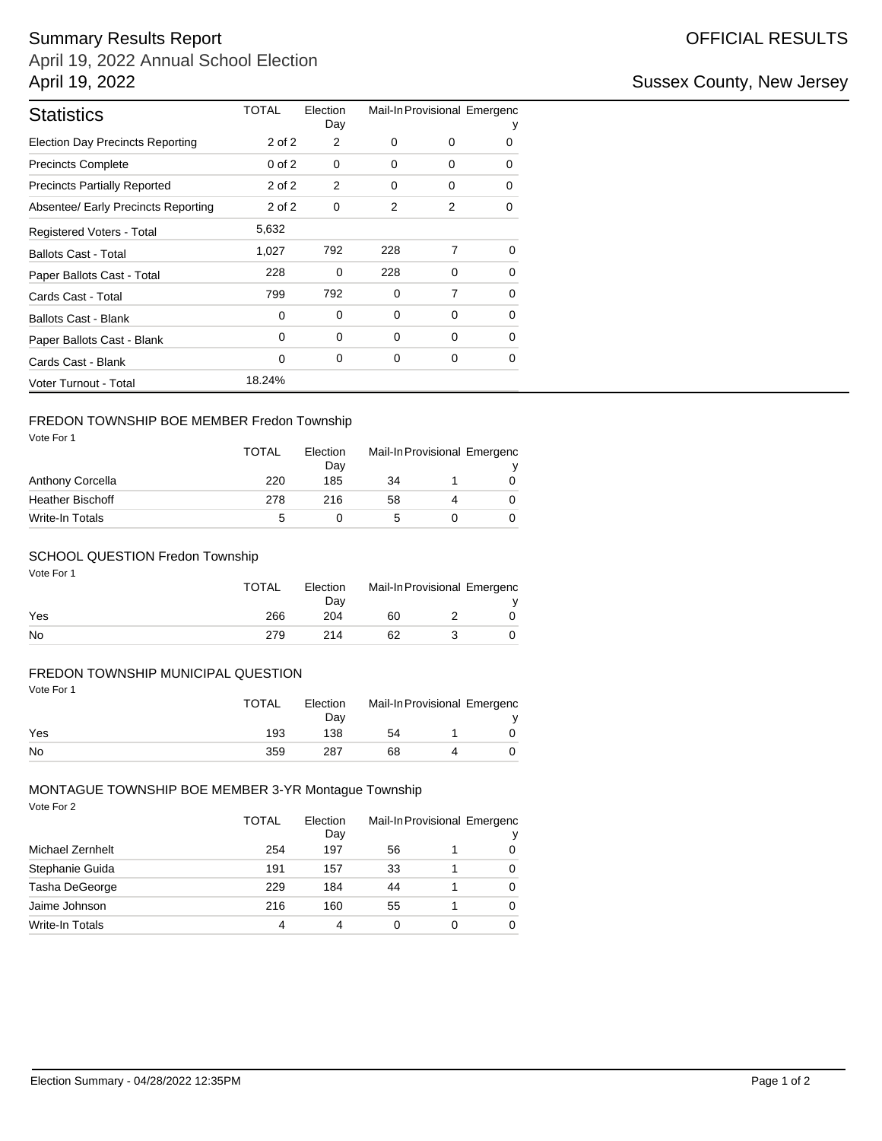# Summary Results Report **Contract Contract Contract Contract Contract Contract Contract Contract Contract Contract Contract Contract Contract Contract Contract Contract Contract Contract Contract Contract Contract Contract**

April 19, 2022 Annual School Election April 19, 2022 **Sussex County, New Jersey** 

| <b>Statistics</b>                       | TOTAL      | Election<br>Day | Mail-In Provisional Emergenc |          |          |  |
|-----------------------------------------|------------|-----------------|------------------------------|----------|----------|--|
| <b>Election Day Precincts Reporting</b> | 2 of 2     | 2               | 0                            | 0        | 0        |  |
| <b>Precincts Complete</b>               | $0$ of $2$ | $\Omega$        | 0                            | 0        | 0        |  |
| <b>Precincts Partially Reported</b>     | 2 of 2     | 2               | 0                            | 0        | 0        |  |
| Absentee/ Early Precincts Reporting     | 2 of 2     | $\Omega$        | 2                            | 2        | 0        |  |
| Registered Voters - Total               | 5,632      |                 |                              |          |          |  |
| <b>Ballots Cast - Total</b>             | 1,027      | 792             | 228                          | 7        | $\Omega$ |  |
| Paper Ballots Cast - Total              | 228        | 0               | 228                          | 0        | $\Omega$ |  |
| Cards Cast - Total                      | 799        | 792             | 0                            | 7        | $\Omega$ |  |
| <b>Ballots Cast - Blank</b>             | 0          | $\Omega$        | 0                            | $\Omega$ | $\Omega$ |  |
| Paper Ballots Cast - Blank              | 0          | $\Omega$        | 0                            | $\Omega$ | $\Omega$ |  |
| Cards Cast - Blank                      | 0          | 0               | 0                            | 0        | 0        |  |
| Voter Turnout - Total                   | 18.24%     |                 |                              |          |          |  |

# FREDON TOWNSHIP BOE MEMBER Fredon Township

Vote For 1

| Vote For 1              | <b>TOTAL</b> | Election<br>Dav | Mail-In Provisional Emergenc |  |   |
|-------------------------|--------------|-----------------|------------------------------|--|---|
| <b>Anthony Corcella</b> | 220          | 185             | 34                           |  | 0 |
| <b>Heather Bischoff</b> | 278          | 216             | 58                           |  | 0 |
| Write-In Totals         | 5            |                 |                              |  |   |

## SCHOOL QUESTION Fredon Township

| Vote For 1 | <b>TOTAL</b> | Election<br>Day | Mail-In Provisional Emergenc |  |
|------------|--------------|-----------------|------------------------------|--|
| Yes        | 266          | 204             | 60                           |  |
| <b>No</b>  | 279          | 214             | 62                           |  |

## FREDON TOWNSHIP MUNICIPAL QUESTION

| Vote For 1 | <b>TOTAL</b> | Election<br>Dav | Mail-In Provisional Emergenc |  |
|------------|--------------|-----------------|------------------------------|--|
| Yes        | 193          | 138             | 54                           |  |
| No         | 359          | 287             | 68                           |  |

#### Vote For 2 MONTAGUE TOWNSHIP BOE MEMBER 3-YR Montague Township

|                        | <b>TOTAL</b><br>254 | Election<br>Day<br>197 | Mail-In Provisional Emergenc<br>٧ |  |   |  |
|------------------------|---------------------|------------------------|-----------------------------------|--|---|--|
| Michael Zernhelt       |                     |                        | 56                                |  | 0 |  |
| Stephanie Guida        | 191                 | 157                    | 33                                |  | 0 |  |
| Tasha DeGeorge         | 229                 | 184                    | 44                                |  | 0 |  |
| Jaime Johnson          | 216                 | 160                    | 55                                |  | 0 |  |
| <b>Write-In Totals</b> | 4                   |                        | 0                                 |  | 0 |  |